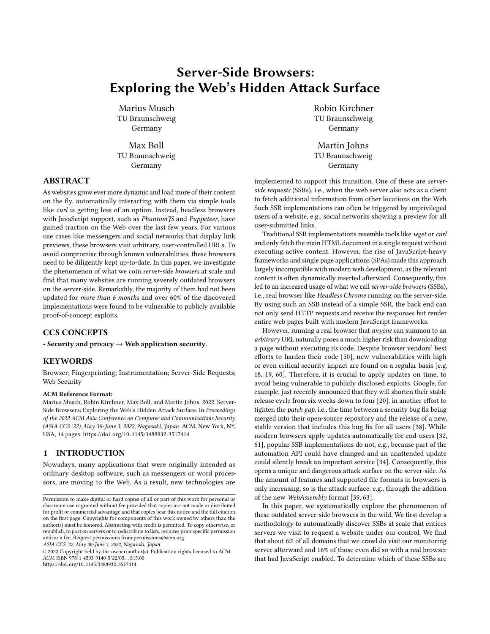# Server-Side Browsers: Exploring the Web's Hidden Attack Surface

Marius Musch TU Braunschweig Germany

Max Boll TU Braunschweig Germany

# ABSTRACT

As websites grow ever more dynamic and load more of their content on the fly, automatically interacting with them via simple tools like curl is getting less of an option. Instead, headless browsers with JavaScript support, such as PhantomJS and Puppeteer, have gained traction on the Web over the last few years. For various use cases like messengers and social networks that display link previews, these browsers visit arbitrary, user-controlled URLs. To avoid compromise through known vulnerabilities, these browsers need to be diligently kept up-to-date. In this paper, we investigate the phenomenon of what we coin server-side browsers at scale and find that many websites are running severely outdated browsers on the server-side. Remarkably, the majority of them had not been updated for more than 6 months and over 60% of the discovered implementations were found to be vulnerable to publicly available proof-of-concept exploits.

# CCS CONCEPTS

• Security and privacy  $\rightarrow$  Web application security.

## **KEYWORDS**

Browser; Fingerprinting; Instrumentation; Server-Side Requests; Web Security

#### ACM Reference Format:

Marius Musch, Robin Kirchner, Max Boll, and Martin Johns. 2022. Server-Side Browsers: Exploring the Web's Hidden Attack Surface. In Proceedings of the 2022 ACM Asia Conference on Computer and Communications Security (ASIA CCS '22), May 30-June 3, 2022, Nagasaki, Japan. ACM, New York, NY, USA, [14](#page-13-0) pages. https://doi.org/10.[1145/3488932](https://doi.org/10.1145/3488932.3517414).<sup>3517414</sup>

# 1 INTRODUCTION

Nowadays, many applications that were originally intended as ordinary desktop software, such as messengers or word processors, are moving to the Web. As a result, new technologies are

ASIA CCS '22, May 30-June 3, 2022, Nagasaki, Japan

© 2022 Copyright held by the owner/author(s). Publication rights licensed to ACM. ACM ISBN 978-1-4503-9140-5/22/05. . . \$15.00 https://doi.org/10.[1145/3488932](https://doi.org/10.1145/3488932.3517414).<sup>3517414</sup>

Robin Kirchner TU Braunschweig Germany

Martin Johns TU Braunschweig Germany

implemented to support this transition. One of these are serverside requests (SSRs), i.e., when the web server also acts as a client to fetch additional information from other locations on the Web. Such SSR implementations can often be triggered by unprivileged users of a website, e.g., social networks showing a preview for all user-submitted links.

Traditional SSR implementations resemble tools like wget or curl and only fetch the main HTML document in a single request without executing active content. However, the rise of JavaScript-heavy frameworks and single page applications (SPAs) made this approach largely incompatible with modern web development, as the relevant content is often dynamically inserted afterward. Consequently, this led to an increased usage of what we call server-side browsers (SSBs), i.e., real browser like Headless Chrome running on the server-side. By using such an SSB instead of a simple SSR, the back end can not only send HTTP requests and receive the responses but render entire web pages built with modern JavaScript frameworks.

However, running a real browser that anyone can summon to an arbitrary URL naturally poses a much higher risk than downloading a page without executing its code. Despite browser vendors' best efforts to harden their code [\[50\]](#page-11-0), new vulnerabilities with high or even critical security impact are found on a regular basis [e.g. [18,](#page-11-1) [19,](#page-11-2) [60\]](#page-11-3). Therefore, it is crucial to apply updates on time, to avoid being vulnerable to publicly disclosed exploits. Google, for example, just recently announced that they will shorten their stable release cycle from six weeks down to four [\[20\]](#page-11-4), in another effort to tighten the patch gap, i.e., the time between a security bug fix being merged into their open-source repository and the release of a new, stable version that includes this bug fix for all users [\[38\]](#page-11-5). While modern browsers apply updates automatically for end-users [\[32,](#page-11-6) [61\]](#page-11-7), popular SSB implementations do not, e.g., because part of the automation API could have changed and an unattended update could silently break an important service [\[34\]](#page-11-8). Consequently, this opens a unique and dangerous attack surface on the server-side. As the amount of features and supported file formats in browsers is only increasing, so is the attack surface, e.g., through the addition of the new WebAssembly format [\[39,](#page-11-9) [63\]](#page-11-10).

In this paper, we systematically explore the phenomenon of these outdated server-side browsers in the wild. We first develop a methodology to automatically discover SSBs at scale that entices servers we visit to request a website under our control. We find that about 6% of all domains that we crawl do visit our monitoring server afterward and 16% of those even did so with a real browser that had JavaScript enabled. To determine which of these SSBs are

Permission to make digital or hard copies of all or part of this work for personal or classroom use is granted without fee provided that copies are not made or distributed for profit or commercial advantage and that copies bear this notice and the full citation on the first page. Copyrights for components of this work owned by others than the author(s) must be honored. Abstracting with credit is permitted. To copy otherwise, or republish, to post on servers or to redistribute to lists, requires prior specific permission and/or a fee. Request permissions from permissions@acm.org.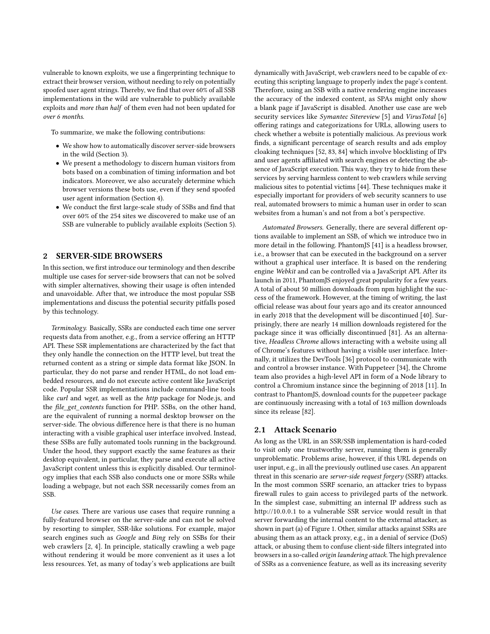vulnerable to known exploits, we use a fingerprinting technique to extract their browser version, without needing to rely on potentially spoofed user agent strings. Thereby, we find that over 60% of all SSB implementations in the wild are vulnerable to publicly available exploits and more than half of them even had not been updated for over 6 months.

To summarize, we make the following contributions:

- We show how to automatically discover server-side browsers in the wild [\(Section 3\)](#page-2-0).
- We present a methodology to discern human visitors from bots based on a combination of timing information and bot indicators. Moreover, we also accurately determine which browser versions these bots use, even if they send spoofed user agent information [\(Section 4\)](#page-4-0).
- We conduct the first large-scale study of SSBs and find that over 60% of the 254 sites we discovered to make use of an SSB are vulnerable to publicly available exploits [\(Section 5\)](#page-5-0).

# **SERVER-SIDE BROWSERS**

In this section, we first introduce our terminology and then describe multiple use cases for server-side browsers that can not be solved with simpler alternatives, showing their usage is often intended and unavoidable. After that, we introduce the most popular SSB implementations and discuss the potential security pitfalls posed by this technology.

Terminology. Basically, SSRs are conducted each time one server requests data from another, e.g., from a service offering an HTTP API. These SSR implementations are characterized by the fact that they only handle the connection on the HTTP level, but treat the returned content as a string or simple data format like JSON. In particular, they do not parse and render HTML, do not load embedded resources, and do not execute active content like JavaScript code. Popular SSR implementations include command-line tools like *curl* and wget, as well as the http package for Node.js, and the file\_get\_contents function for PHP. SSBs, on the other hand, are the equivalent of running a normal desktop browser on the server-side. The obvious difference here is that there is no human interacting with a visible graphical user interface involved. Instead, these SSBs are fully automated tools running in the background. Under the hood, they support exactly the same features as their desktop equivalent, in particular, they parse and execute all active JavaScript content unless this is explicitly disabled. Our terminology implies that each SSB also conducts one or more SSRs while loading a webpage, but not each SSR necessarily comes from an SSB.

Use cases. There are various use cases that require running a fully-featured browser on the server-side and can not be solved by resorting to simpler, SSR-like solutions. For example, major search engines such as Google and Bing rely on SSBs for their web crawlers [\[2,](#page-10-0) [4\]](#page-10-1). In principle, statically crawling a web page without rendering it would be more convenient as it uses a lot less resources. Yet, as many of today's web applications are built dynamically with JavaScript, web crawlers need to be capable of executing this scripting language to properly index the page's content. Therefore, using an SSB with a native rendering engine increases the accuracy of the indexed content, as SPAs might only show a blank page if JavaScript is disabled. Another use case are web security services like Symantec Sitereview [\[5\]](#page-10-2) and VirusTotal [\[6\]](#page-10-3) offering ratings and categorizations for URLs, allowing users to check whether a website is potentially malicious. As previous work finds, a significant percentage of search results and ads employ cloaking techniques [\[52,](#page-11-11) [83,](#page-12-0) [84\]](#page-12-1) which involve blocklisting of IPs and user agents affiliated with search engines or detecting the absence of JavaScript execution. This way, they try to hide from these services by serving harmless content to web crawlers while serving malicious sites to potential victims [\[44\]](#page-11-12). These techniques make it especially important for providers of web security scanners to use real, automated browsers to mimic a human user in order to scan websites from a human's and not from a bot's perspective.

Automated Browsers. Generally, there are several different options available to implement an SSB, of which we introduce two in more detail in the following. PhantomJS [\[41\]](#page-11-13) is a headless browser, i.e., a browser that can be executed in the background on a server without a graphical user interface. It is based on the rendering engine Webkit and can be controlled via a JavaScript API. After its launch in 2011, PhantomJS enjoyed great popularity for a few years. A total of about 50 million downloads from npm highlight the success of the framework. However, at the timing of writing, the last official release was about four years ago and its creator announced in early 2018 that the development will be discontinued [\[40\]](#page-11-14). Surprisingly, there are nearly 14 million downloads registered for the package since it was officially discontinued [\[81\]](#page-12-2). As an alternative, Headless Chrome allows interacting with a website using all of Chrome's features without having a visible user interface. Internally, it utilizes the DevTools [\[36\]](#page-11-15) protocol to communicate with and control a browser instance. With Puppeteer [\[34\]](#page-11-8), the Chrome team also provides a high-level API in form of a Node library to control a Chromium instance since the beginning of 2018 [\[11\]](#page-11-16). In contrast to PhantomJS, download counts for the puppeteer package are continuously increasing with a total of 163 million downloads since its release [\[82\]](#page-12-3).

## 2.1 Attack Scenario

As long as the URL in an SSR/SSB implementation is hard-coded to visit only one trustworthy server, running them is generally unproblematic. Problems arise, however, if this URL depends on user input, e.g., in all the previously outlined use cases. An apparent threat in this scenario are server-side request forgery (SSRF) attacks. In the most common SSRF scenario, an attacker tries to bypass firewall rules to gain access to privileged parts of the network. In the simplest case, submitting an internal IP address such as http://10.0.0.1 to a vulnerable SSR service would result in that server forwarding the internal content to the external attacker, as shown in part (a) of [Figure 1.](#page-2-1) Other, similar attacks against SSRs are abusing them as an attack proxy, e.g., in a denial of service (DoS) attack, or abusing them to confuse client-side filters integrated into browsers in a so-called origin laundering attack. The high prevalence of SSRs as a convenience feature, as well as its increasing severity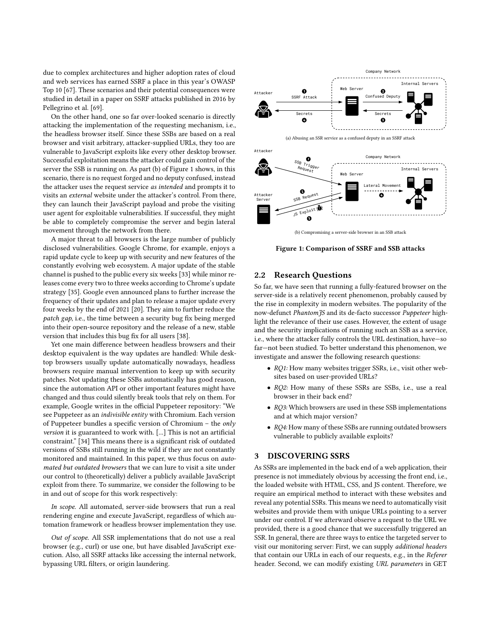due to complex architectures and higher adoption rates of cloud and web services has earned SSRF a place in this year's OWASP Top 10 [\[67\]](#page-11-17). These scenarios and their potential consequences were studied in detail in a paper on SSRF attacks published in 2016 by Pellegrino et al. [\[69\]](#page-12-4).

On the other hand, one so far over-looked scenario is directly attacking the implementation of the requesting mechanism, i.e., the headless browser itself. Since these SSBs are based on a real browser and visit arbitrary, attacker-supplied URLs, they too are vulnerable to JavaScript exploits like every other desktop browser. Successful exploitation means the attacker could gain control of the server the SSB is running on. As part (b) of [Figure 1](#page-2-1) shows, in this scenario, there is no request forged and no deputy confused, instead the attacker uses the request service as intended and prompts it to visits an external website under the attacker's control. From there, they can launch their JavaScript payload and probe the visiting user agent for exploitable vulnerabilities. If successful, they might be able to completely compromise the server and begin lateral movement through the network from there.

A major threat to all browsers is the large number of publicly disclosed vulnerabilities. Google Chrome, for example, enjoys a rapid update cycle to keep up with security and new features of the constantly evolving web ecosystem. A major update of the stable channel is pushed to the public every six weeks [\[33\]](#page-11-18) while minor releases come every two to three weeks according to Chrome's update strategy [\[35\]](#page-11-19). Google even announced plans to further increase the frequency of their updates and plan to release a major update every four weeks by the end of 2021 [\[20\]](#page-11-4). They aim to further reduce the patch gap, i.e., the time between a security bug fix being merged into their open-source repository and the release of a new, stable version that includes this bug fix for all users [\[38\]](#page-11-5).

Yet one main difference between headless browsers and their desktop equivalent is the way updates are handled: While desktop browsers usually update automatically nowadays, headless browsers require manual intervention to keep up with security patches. Not updating these SSBs automatically has good reason, since the automation API or other important features might have changed and thus could silently break tools that rely on them. For example, Google writes in the official Puppeteer repository: "We see Puppeteer as an indivisible entity with Chromium. Each version of Puppeteer bundles a specific version of Chromium – the only version it is guaranteed to work with. [...] This is not an artificial constraint." [\[34\]](#page-11-8) This means there is a significant risk of outdated versions of SSBs still running in the wild if they are not constantly monitored and maintained. In this paper, we thus focus on automated but outdated browsers that we can lure to visit a site under our control to (theoretically) deliver a publicly available JavaScript exploit from there. To summarize, we consider the following to be in and out of scope for this work respectively:

In scope. All automated, server-side browsers that run a real rendering engine and execute JavaScript, regardless of which automation framework or headless browser implementation they use.

Out of scope. All SSR implementations that do not use a real browser (e.g., curl) or use one, but have disabled JavaScript execution. Also, all SSRF attacks like accessing the internal network, bypassing URL filters, or origin laundering.

<span id="page-2-1"></span>

(b) Compromising a server-side browser in an SSB attack

Figure 1: Comparison of SSRF and SSB attacks

## <span id="page-2-2"></span>2.2 Research Questions

So far, we have seen that running a fully-featured browser on the server-side is a relatively recent phenomenon, probably caused by the rise in complexity in modern websites. The popularity of the now-defunct PhantomJS and its de-facto successor Puppeteer highlight the relevance of their use cases. However, the extent of usage and the security implications of running such an SSB as a service, i.e., where the attacker fully controls the URL destination, have—so far—not been studied. To better understand this phenomenon, we investigate and answer the following research questions:

- RQ1: How many websites trigger SSRs, i.e., visit other websites based on user-provided URLs?
- RQ2: How many of these SSRs are SSBs, i.e., use a real browser in their back end?
- RQ3: Which browsers are used in these SSB implementations and at which major version?
- RQ4: How many of these SSBs are running outdated browsers vulnerable to publicly available exploits?

## <span id="page-2-0"></span>3 DISCOVERING SSRS

As SSRs are implemented in the back end of a web application, their presence is not immediately obvious by accessing the front end, i.e., the loaded website with HTML, CSS, and JS content. Therefore, we require an empirical method to interact with these websites and reveal any potential SSRs. This means we need to automatically visit websites and provide them with unique URLs pointing to a server under our control. If we afterward observe a request to the URL we provided, there is a good chance that we successfully triggered an SSR. In general, there are three ways to entice the targeted server to visit our monitoring server: First, we can supply additional headers that contain our URLs in each of our requests, e.g., in the Referer header. Second, we can modify existing URL parameters in GET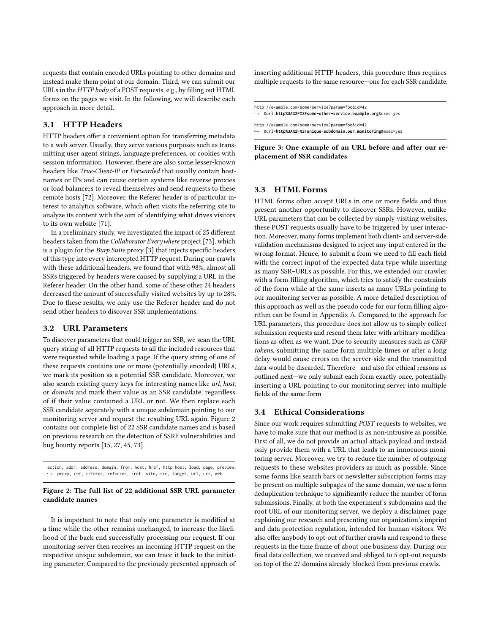requests that contain encoded URLs pointing to other domains and instead make them point at our domain. Third, we can submit our URLs in the HTTP body of a POST requests, e.g., by filling out HTML forms on the pages we visit. In the following, we will describe each approach in more detail.

## 3.1 HTTP Headers

HTTP headers offer a convenient option for transferring metadata to a web server. Usually, they serve various purposes such as transmitting user agent strings, language preferences, or cookies with session information. However, there are also some lesser-known headers like True-Client-IP or Forwarded that usually contain hostnames or IPs and can cause certain systems like reverse proxies or load balancers to reveal themselves and send requests to these remote hosts [\[72\]](#page-12-5). Moreover, the Referer header is of particular interest to analytics software, which often visits the referring site to analyze its content with the aim of identifying what drives visitors to its own website [\[71\]](#page-12-6).

In a preliminary study, we investigated the impact of 25 different headers taken from the Collaborator Everywhere project [\[73\]](#page-12-7), which is a plugin for the Burp Suite proxy [\[3\]](#page-10-4) that injects specific headers of this type into every intercepted HTTP request. During our crawls with these additional headers, we found that with 98%, almost all SSRs triggered by headers were caused by supplying a URL in the Referer header. On the other hand, some of these other 24 headers decreased the amount of successfully visited websites by up to 28%. Due to these results, we only use the Referer header and do not send other headers to discover SSR implementations.

# 3.2 URL Parameters

To discover parameters that could trigger an SSR, we scan the URL query string of all HTTP requests to all the included resources that were requested while loading a page. If the query string of one of these requests contains one or more (potentially encoded) URLs, we mark its position as a potential SSR candidate. Moreover, we also search existing query keys for interesting names like url, host, or domain and mark their value as an SSR candidate, regardless of if their value contained a URL or not. We then replace each SSR candidate separately with a unique subdomain pointing to our monitoring server and request the resulting URL again. [Figure 2](#page-3-0) contains our complete list of 22 SSR candidate names and is based on previous research on the detection of SSRF vulnerabilities and bug bounty reports [\[15,](#page-11-20) [27,](#page-11-21) [45,](#page-11-22) [73\]](#page-12-7).

<span id="page-3-0"></span>action, addr, address, domain, from, host, href, http\_host, load, page, preview, ,<sup>→</sup> proxy, ref, referer, referrer, rref, site, src, target, url, uri, web

#### Figure 2: The full list of 22 additional SSR URL parameter candidate names

It is important to note that only one parameter is modified at a time while the other remains unchanged, to increase the likelihood of the back end successfully processing our request. If our monitoring server then receives an incoming HTTP request on the respective unique subdomain, we can trace it back to the initiating parameter. Compared to the previously presented approach of inserting additional HTTP headers, this procedure thus requires multiple requests to the same resource—one for each SSR candidate.

```
http://example.com/some/service?param=foo&id=42
,→ &url=http%3A%2F%2Fsome-other-service.example.org&exec=yes
http://example.com/some/service?param=foo&id=42
   ,→ &url=http%3A%2F%2Funique-subdomain.our.monitoring&exec=yes
```
Figure 3: One example of an URL before and after our replacement of SSR candidates

# 3.3 HTML Forms

HTML forms often accept URLs in one or more fields and thus present another opportunity to discover SSRs. However, unlike URL parameters that can be collected by simply visiting websites, these POST requests usually have to be triggered by user interaction. Moreover, many forms implement both client- and server-side validation mechanisms designed to reject any input entered in the wrong format. Hence, to submit a form we need to fill each field with the correct input of the expected data type while inserting as many SSR–URLs as possible. For this, we extended our crawler with a form-filling algorithm, which tries to satisfy the constraints of the form while at the same inserts as many URLs pointing to our monitoring server as possible. A more detailed description of this approach as well as the pseudo code for our form filling algorithm can be found in [Appendix A.](#page-12-8) Compared to the approach for URL parameters, this procedure does not allow us to simply collect submission requests and resend them later with arbitrary modifications as often as we want. Due to security measures such as CSRF tokens, submitting the same form multiple times or after a long delay would cause errors on the server-side and the transmitted data would be discarded. Therefore—and also for ethical reasons as outlined next—we only submit each form exactly once, potentially inserting a URL pointing to our monitoring server into multiple fields of the same form

## 3.4 Ethical Considerations

Since our work requires submitting POST requests to websites, we have to make sure that our method is as non-intrusive as possible. First of all, we do not provide an actual attack payload and instead only provide them with a URL that leads to an innocuous monitoring server. Moreover, we try to reduce the number of outgoing requests to these websites providers as much as possible. Since some forms like search bars or newsletter subscription forms may be present on multiple subpages of the same domain, we use a form deduplication technique to significantly reduce the number of form submissions. Finally, at both the experiment's subdomains and the root URL of our monitoring server, we deploy a disclaimer page explaining our research and presenting our organization's imprint and data protection regulation, intended for human visitors. We also offer anybody to opt-out of further crawls and respond to these requests in the time frame of about one business day. During our final data collection, we received and obliged to 5 opt-out requests on top of the 27 domains already blocked from previous crawls.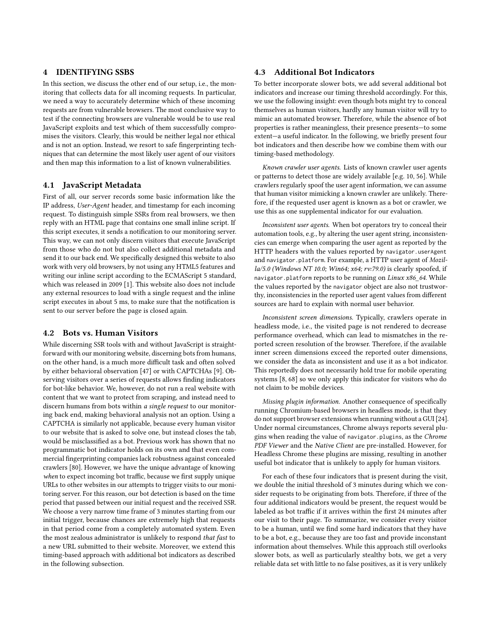# <span id="page-4-0"></span>4 IDENTIFYING SSBS

In this section, we discuss the other end of our setup, i.e., the monitoring that collects data for all incoming requests. In particular, we need a way to accurately determine which of these incoming requests are from vulnerable browsers. The most conclusive way to test if the connecting browsers are vulnerable would be to use real JavaScript exploits and test which of them successfully compromises the visitors. Clearly, this would be neither legal nor ethical and is not an option. Instead, we resort to safe fingerprinting techniques that can determine the most likely user agent of our visitors and then map this information to a list of known vulnerabilities.

## 4.1 JavaScript Metadata

First of all, our server records some basic information like the IP address, User-Agent header, and timestamp for each incoming request. To distinguish simple SSRs from real browsers, we then reply with an HTML page that contains one small inline script. If this script executes, it sends a notification to our monitoring server. This way, we can not only discern visitors that execute JavaScript from those who do not but also collect additional metadata and send it to our back end. We specifically designed this website to also work with very old browsers, by not using any HTML5 features and writing our inline script according to the ECMAScript 5 standard, which was released in 2009 [\[1\]](#page-10-5). This website also does not include any external resources to load with a single request and the inline script executes in about 5 ms, to make sure that the notification is sent to our server before the page is closed again.

## 4.2 Bots vs. Human Visitors

While discerning SSR tools with and without JavaScript is straightforward with our monitoring website, discerning bots from humans, on the other hand, is a much more difficult task and often solved by either behavioral observation [\[47\]](#page-11-23) or with CAPTCHAs [\[9\]](#page-11-24). Observing visitors over a series of requests allows finding indicators for bot-like behavior. We, however, do not run a real website with content that we want to protect from scraping, and instead need to discern humans from bots within a single request to our monitoring back end, making behavioral analysis not an option. Using a CAPTCHA is similarly not applicable, because every human visitor to our website that is asked to solve one, but instead closes the tab, would be misclassified as a bot. Previous work has shown that no programmatic bot indicator holds on its own and that even commercial fingerprinting companies lack robustness against concealed crawlers [\[80\]](#page-12-9). However, we have the unique advantage of knowing when to expect incoming bot traffic, because we first supply unique URLs to other websites in our attempts to trigger visits to our monitoring server. For this reason, our bot detection is based on the time period that passed between our initial request and the received SSR. We choose a very narrow time frame of 3 minutes starting from our initial trigger, because chances are extremely high that requests in that period come from a completely automated system. Even the most zealous administrator is unlikely to respond that fast to a new URL submitted to their website. Moreover, we extend this timing-based approach with additional bot indicators as described in the following subsection.

## <span id="page-4-1"></span>4.3 Additional Bot Indicators

To better incorporate slower bots, we add several additional bot indicators and increase our timing threshold accordingly. For this, we use the following insight: even though bots might try to conceal themselves as human visitors, hardly any human visitor will try to mimic an automated browser. Therefore, while the absence of bot properties is rather meaningless, their presence presents—to some extent—a useful indicator. In the following, we briefly present four bot indicators and then describe how we combine them with our timing-based methodology.

Known crawler user agents. Lists of known crawler user agents or patterns to detect those are widely available [e.g. [10,](#page-11-25) [56\]](#page-11-26). While crawlers regularly spoof the user agent information, we can assume that human visitor mimicking a known crawler are unlikely. Therefore, if the requested user agent is known as a bot or crawler, we use this as one supplemental indicator for our evaluation.

Inconsistent user agents. When bot operators try to conceal their automation tools, e.g., by altering the user agent string, inconsistencies can emerge when comparing the user agent as reported by the HTTP headers with the values reported by navigator.userAgent and navigator.platform. For example, a HTTP user agent of Mozil $la/5.0$  (Windows NT 10.0; Win64; x64; rv:79.0) is clearly spoofed, if navigator.platform reports to be running on Linux x86\_64. While the values reported by the navigator object are also not trustworthy, inconsistencies in the reported user agent values from different sources are hard to explain with normal user behavior.

Inconsistent screen dimensions. Typically, crawlers operate in headless mode, i.e., the visited page is not rendered to decrease performance overhead, which can lead to mismatches in the reported screen resolution of the browser. Therefore, if the available inner screen dimensions exceed the reported outer dimensions, we consider the data as inconsistent and use it as a bot indicator. This reportedly does not necessarily hold true for mobile operating systems [\[8,](#page-11-27) [68\]](#page-12-10) so we only apply this indicator for visitors who do not claim to be mobile devices.

Missing plugin information. Another consequence of specifically running Chromium-based browsers in headless mode, is that they do not support browser extensions when running without a GUI [\[24\]](#page-11-28). Under normal circumstances, Chrome always reports several plugins when reading the value of navigator.plugins, as the Chrome PDF Viewer and the Native Client are pre-installed. However, for Headless Chrome these plugins are missing, resulting in another useful bot indicator that is unlikely to apply for human visitors.

For each of these four indicators that is present during the visit, we double the initial threshold of 3 minutes during which we consider requests to be originating from bots. Therefore, if three of the four additional indicators would be present, the request would be labeled as bot traffic if it arrives within the first 24 minutes after our visit to their page. To summarize, we consider every visitor to be a human, until we find some hard indicators that they have to be a bot, e.g., because they are too fast and provide inconstant information about themselves. While this approach still overlooks slower bots, as well as particularly stealthy bots, we get a very reliable data set with little to no false positives, as it is very unlikely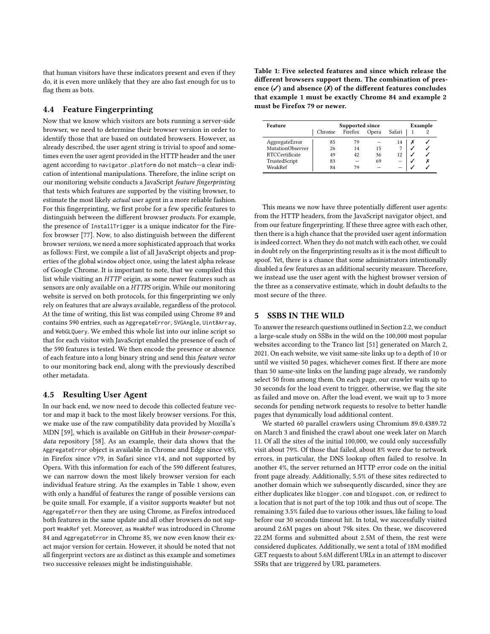that human visitors have these indicators present and even if they do, it is even more unlikely that they are also fast enough for us to flag them as bots.

# <span id="page-5-2"></span>4.4 Feature Fingerprinting

Now that we know which visitors are bots running a server-side browser, we need to determine their browser version in order to identify those that are based on outdated browsers. However, as already described, the user agent string is trivial to spoof and sometimes even the user agent provided in the HTTP header and the user agent according to navigator.platform do not match—a clear indication of intentional manipulations. Therefore, the inline script on our monitoring website conducts a JavaScript feature fingerprinting that tests which features are supported by the visiting browser, to estimate the most likely actual user agent in a more reliable fashion. For this fingerprinting, we first probe for a few specific features to distinguish between the different browser products. For example, the presence of InstallTrigger is a unique indicator for the Firefox browser [\[77\]](#page-12-11). Now, to also distinguish between the different browser versions, we need a more sophisticated approach that works as follows: First, we compile a list of all JavaScript objects and properties of the global window object once, using the latest alpha release of Google Chrome. It is important to note, that we compiled this list while visiting an HTTP origin, as some newer features such as sensors are only available on a HTTPS origin. While our monitoring website is served on both protocols, for this fingerprinting we only rely on features that are always available, regardless of the protocol. At the time of writing, this list was compiled using Chrome 89 and contains 590 entries, such as AggregateError, SVGAngle, Uint8Array, and WebGLQuery. We embed this whole list into our inline script so that for each visitor with JavaScript enabled the presence of each of the 590 features is tested. We then encode the presence or absence of each feature into a long binary string and send this feature vector to our monitoring back end, along with the previously described other metadata.

#### <span id="page-5-3"></span>4.5 Resulting User Agent

In our back end, we now need to decode this collected feature vector and map it back to the most likely browser versions. For this, we make use of the raw compatibility data provided by Mozilla's MDN [\[59\]](#page-11-29), which is available on GitHub in their browser-compatdata repository [\[58\]](#page-11-30). As an example, their data shows that the AggregateError object is available in Chrome and Edge since v85, in Firefox since v79, in Safari since v14, and not supported by Opera. With this information for each of the 590 different features, we can narrow down the most likely browser version for each individual feature string. As the examples in [Table 1](#page-5-1) show, even with only a handful of features the range of possible versions can be quite small. For example, if a visitor supports WeakRef but not AggregateError then they are using Chrome, as Firefox introduced both features in the same update and all other browsers do not support WeakRef yet. Moreover, as WeakRef was introduced in Chrome 84 and AggregateError in Chrome 85, we now even know their exact major version for certain. However, it should be noted that not all fingerprint vectors are as distinct as this example and sometimes two successive releases might be indistinguishable.

<span id="page-5-1"></span>Table 1: Five selected features and since which release the different browsers support them. The combination of presence  $(\checkmark)$  and absence  $(\checkmark)$  of the different features concludes that example 1 must be exactly Chrome 84 and example 2 must be Firefox 79 or newer.

| Feature               | Supported since |         |       |        | Example |
|-----------------------|-----------------|---------|-------|--------|---------|
|                       | Chrome          | Firefox | Opera | Safari |         |
| AggregateError        | 85              | 79      |       | 14     |         |
| MutationObserver      | 26              | 14      | 15    |        |         |
| <b>RTCCertificate</b> | 49              | 42      | 36    | 12     |         |
| TrustedScript         | 83              |         | 69    |        |         |
| WeakRef               | 84              | 70      |       |        |         |

This means we now have three potentially different user agents: from the HTTP headers, from the JavaScript navigator object, and from our feature fingerprinting. If these three agree with each other, then there is a high chance that the provided user agent information is indeed correct. When they do not match with each other, we could in doubt rely on the fingerprinting results as it is the most difficult to spoof. Yet, there is a chance that some administrators intentionally disabled a few features as an additional security measure. Therefore, we instead use the user agent with the highest browser version of the three as a conservative estimate, which in doubt defaults to the most secure of the three.

## <span id="page-5-0"></span>5 SSBS IN THE WILD

To answer the research questions outlined in Section [2.2,](#page-2-2) we conduct a large-scale study on SSBs in the wild on the 100,000 most popular websites according to the Tranco list [\[51\]](#page-11-31) generated on March 2, 2021. On each website, we visit same-site links up to a depth of 10 or until we visited 50 pages, whichever comes first. If there are more than 50 same-site links on the landing page already, we randomly select 50 from among them. On each page, our crawler waits up to 30 seconds for the load event to trigger, otherwise, we flag the site as failed and move on. After the load event, we wait up to 3 more seconds for pending network requests to resolve to better handle pages that dynamically load additional content.

We started 60 parallel crawlers using Chromium 89.0.4389.72 on March 3 and finished the crawl about one week later on March 11. Of all the sites of the initial 100,000, we could only successfully visit about 79%. Of those that failed, about 8% were due to network errors, in particular, the DNS lookup often failed to resolve. In another 4%, the server returned an HTTP error code on the initial front page already. Additionally, 5.5% of these sites redirected to another domain which we subsequently discarded, since they are either duplicates like blogger.com and blogspot.com, or redirect to a location that is not part of the top 100k and thus out of scope. The remaining 3.5% failed due to various other issues, like failing to load before our 30 seconds timeout hit. In total, we successfully visited around 2.6M pages on about 79k sites. On these, we discovered 22.2M forms and submitted about 2.5M of them, the rest were considered duplicates. Additionally, we sent a total of 18M modified GET requests to about 5.6M different URLs in an attempt to discover SSRs that are triggered by URL parameters.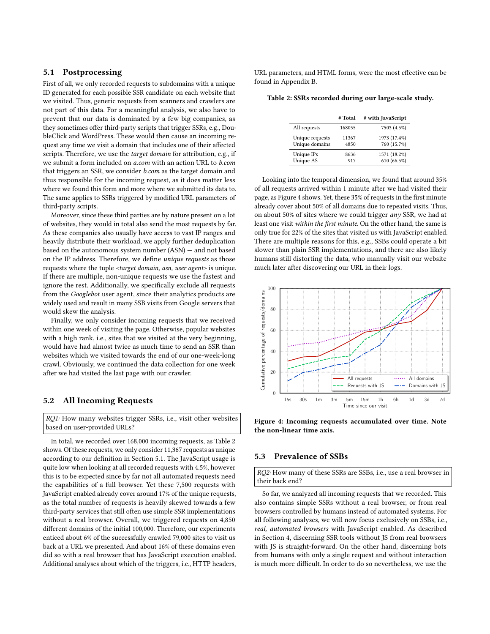## <span id="page-6-1"></span>5.1 Postprocessing

First of all, we only recorded requests to subdomains with a unique ID generated for each possible SSR candidate on each website that we visited. Thus, generic requests from scanners and crawlers are not part of this data. For a meaningful analysis, we also have to prevent that our data is dominated by a few big companies, as they sometimes offer third-party scripts that trigger SSRs, e.g., DoubleClick and WordPress. These would then cause an incoming request any time we visit a domain that includes one of their affected scripts. Therefore, we use the target domain for attribution, e.g., if we submit a form included on a.com with an action URL to b.com that triggers an SSR, we consider b.com as the target domain and thus responsible for the incoming request, as it does matter less where we found this form and more where we submitted its data to. The same applies to SSRs triggered by modified URL parameters of third-party scripts.

Moreover, since these third parties are by nature present on a lot of websites, they would in total also send the most requests by far. As these companies also usually have access to vast IP ranges and heavily distribute their workload, we apply further deduplication based on the autonomous system number (ASN) — and not based on the IP address. Therefore, we define unique requests as those requests where the tuple <target domain, asn, user agent> is unique. If there are multiple, non-unique requests we use the fastest and ignore the rest. Additionally, we specifically exclude all requests from the Googlebot user agent, since their analytics products are widely used and result in many SSB visits from Google servers that would skew the analysis.

Finally, we only consider incoming requests that we received within one week of visiting the page. Otherwise, popular websites with a high rank, i.e., sites that we visited at the very beginning, would have had almost twice as much time to send an SSR than websites which we visited towards the end of our one-week-long crawl. Obviously, we continued the data collection for one week after we had visited the last page with our crawler.

## 5.2 All Incoming Requests

RQ1: How many websites trigger SSRs, i.e., visit other websites based on user-provided URLs?

In total, we recorded over 168,000 incoming requests, as [Table 2](#page-6-0) shows. Of these requests, we only consider 11,367 requests as unique according to our definition in [Section 5.1.](#page-6-1) The JavaScript usage is quite low when looking at all recorded requests with 4.5%, however this is to be expected since by far not all automated requests need the capabilities of a full browser. Yet these 7,500 requests with JavaScript enabled already cover around 17% of the unique requests, as the total number of requests is heavily skewed towards a few third-party services that still often use simple SSR implementations without a real browser. Overall, we triggered requests on 4,850 different domains of the initial 100,000. Therefore, our experiments enticed about 6% of the successfully crawled 79,000 sites to visit us back at a URL we presented. And about 16% of these domains even did so with a real browser that has JavaScript execution enabled. Additional analyses about which of the triggers, i.e., HTTP headers,

URL parameters, and HTML forms, were the most effective can be found in [Appendix B.](#page-13-1)

<span id="page-6-0"></span>Table 2: SSRs recorded during our large-scale study.

|                 | # Total | # with JavaScript |
|-----------------|---------|-------------------|
| All requests    | 168055  | 7503 (4.5%)       |
| Unique requests | 11367   | 1973 (17.4%)      |
| Unique domains  | 4850    | 760 (15.7%)       |
| Unique IPs      | 8636    | 1571 (18.2%)      |
| Unique AS       | 917     | 610 (66.5%)       |

Looking into the temporal dimension, we found that around 35% of all requests arrived within 1 minute after we had visited their page, as [Figure 4](#page-6-2) shows. Yet, these 35% of requests in the first minute already cover about 50% of all domains due to repeated visits. Thus, on about 50% of sites where we could trigger any SSR, we had at least one visit within the first minute. On the other hand, the same is only true for 22% of the sites that visited us with JavaScript enabled. There are multiple reasons for this, e.g., SSBs could operate a bit slower than plain SSR implementations, and there are also likely humans still distorting the data, who manually visit our website much later after discovering our URL in their logs.

<span id="page-6-2"></span>

Figure 4: Incoming requests accumulated over time. Note the non-linear time axis.

#### 5.3 Prevalence of SSBs

RQ2: How many of these SSRs are SSBs, i.e., use a real browser in their back end?

So far, we analyzed all incoming requests that we recorded. This also contains simple SSRs without a real browser, or from real browsers controlled by humans instead of automated systems. For all following analyses, we will now focus exclusively on SSBs, i.e., real, automated browsers with JavaScript enabled. As described in [Section 4,](#page-4-0) discerning SSR tools without JS from real browsers with JS is straight-forward. On the other hand, discerning bots from humans with only a single request and without interaction is much more difficult. In order to do so nevertheless, we use the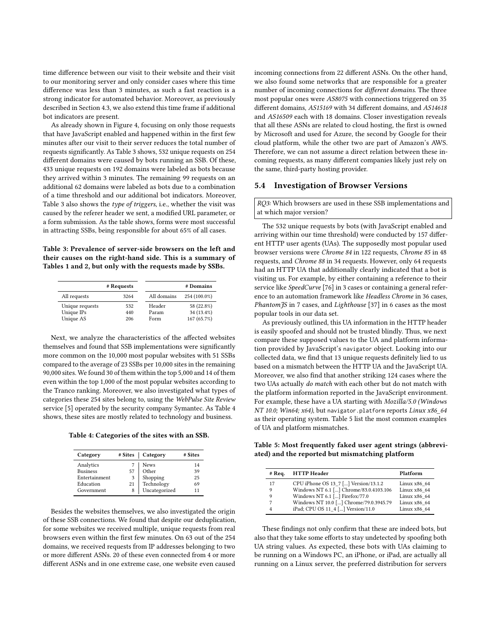time difference between our visit to their website and their visit to our monitoring server and only consider cases where this time difference was less than 3 minutes, as such a fast reaction is a strong indicator for automated behavior. Moreover, as previously described in Section [4.3,](#page-4-1) we also extend this time frame if additional bot indicators are present.

As already shown in [Figure 4,](#page-6-2) focusing on only those requests that have JavaScript enabled and happened within in the first few minutes after our visit to their server reduces the total number of requests significantly. As [Table 3](#page-7-0) shows, 532 unique requests on 254 different domains were caused by bots running an SSB. Of these, 433 unique requests on 192 domains were labeled as bots because they arrived within 3 minutes. The remaining 99 requests on an additional 62 domains were labeled as bots due to a combination of a time threshold and our additional bot indicators. Moreover, [Table 3](#page-7-0) also shows the type of triggers, i.e., whether the visit was caused by the referer header we sent, a modified URL parameter, or a form submission. As the table shows, forms were most successful in attracting SSBs, being responsible for about 65% of all cases.

<span id="page-7-0"></span>Table 3: Prevalence of server-side browsers on the left and their causes on the right-hand side. This is a summary of Tables 1 and 2, but only with the requests made by SSBs.

|                 | # Requests |             | # Domains    |
|-----------------|------------|-------------|--------------|
| All requests    | 3264       | All domains | 254 (100.0%) |
| Unique requests | 532        | Header      | 58 (22.8%)   |
| Unique IPs      | 440        | Param       | 34 (13.4%)   |
| Unique AS       | 206        | Form        | 167 (65.7%)  |

Next, we analyze the characteristics of the affected websites themselves and found that SSB implementations were significantly more common on the 10,000 most popular websites with 51 SSBs compared to the average of 23 SSBs per 10,000 sites in the remaining 90,000 sites. We found 30 of them within the top 5,000 and 14 of them even within the top 1,000 of the most popular websites according to the Tranco ranking. Moreover, we also investigated what types of categories these 254 sites belong to, using the WebPulse Site Review service [\[5\]](#page-10-2) operated by the security company Symantec. As [Table 4](#page-7-1) shows, these sites are mostly related to technology and business.

<span id="page-7-1"></span>Table 4: Categories of the sites with an SSB.

| Category        | # Sites | Category      | # Sites |
|-----------------|---------|---------------|---------|
| Analytics       |         | <b>News</b>   | 14      |
| <b>Business</b> | 57      | Other         | 39      |
| Entertainment   | 3       | Shopping      | 25      |
| Education       | 21      | Technology    | 69      |
| Government      | 8       | Uncategorized | 11      |

Besides the websites themselves, we also investigated the origin of these SSB connections. We found that despite our deduplication, for some websites we received multiple, unique requests from real browsers even within the first few minutes. On 63 out of the 254 domains, we received requests from IP addresses belonging to two or more different ASNs. 20 of these even connected from 4 or more different ASNs and in one extreme case, one website even caused

incoming connections from 22 different ASNs. On the other hand, we also found some networks that are responsible for a greater number of incoming connections for different domains. The three most popular ones were AS8075 with connections triggered on 35 different domains, AS15169 with 34 different domains, and AS14618 and AS16509 each with 18 domains. Closer investigation reveals that all these ASNs are related to cloud hosting, the first is owned by Microsoft and used for Azure, the second by Google for their cloud platform, while the other two are part of Amazon's AWS. Therefore, we can not assume a direct relation between these incoming requests, as many different companies likely just rely on the same, third-party hosting provider.

#### 5.4 Investigation of Browser Versions

RQ3: Which browsers are used in these SSB implementations and at which major version?

The 532 unique requests by bots (with JavaScript enabled and arriving within our time threshold) were conducted by 157 different HTTP user agents (UAs). The supposedly most popular used browser versions were Chrome 84 in 122 requests, Chrome 85 in 48 requests, and Chrome 88 in 34 requests. However, only 64 requests had an HTTP UA that additionally clearly indicated that a bot is visiting us. For example, by either containing a reference to their service like SpeedCurve [\[76\]](#page-12-12) in 3 cases or containing a general reference to an automation framework like Headless Chrome in 36 cases, PhantomJS in 7 cases, and Lighthouse [\[37\]](#page-11-32) in 6 cases as the most popular tools in our data set.

As previously outlined, this UA information in the HTTP header is easily spoofed and should not be trusted blindly. Thus, we next compare these supposed values to the UA and platform information provided by JavaScript's navigator object. Looking into our collected data, we find that 13 unique requests definitely lied to us based on a mismatch between the HTTP UA and the JavaScript UA. Moreover, we also find that another striking 124 cases where the two UAs actually do match with each other but do not match with the platform information reported in the JavaScript environment. For example, these have a UA starting with Mozilla/5.0 (Windows NT 10.0; Win64; x64), but navigator.platform reports Linux x86\_64 as their operating system. [Table 5](#page-7-2) list the most common examples of UA and platform mismatches.

<span id="page-7-2"></span>Table 5: Most frequently faked user agent strings (abbreviated) and the reported but mismatching platform

| $#$ Req. | <b>HTTP</b> Header                     | Platform     |
|----------|----------------------------------------|--------------|
| 17       | CPU iPhone OS 13 7 [] Version/13.1.2   | Linux x86 64 |
| 9        | Windows NT 6.1 [] Chrome/83.0.4103.106 | Linux x86 64 |
| 9        | Windows NT 6.1 [] Firefox/77.0         | Linux x86 64 |
| 7        | Windows NT 10.0 [] Chrome/79.0.3945.79 | Linux x86 64 |
|          | iPad; CPU OS 11 4 [] Version/11.0      | Linux x86 64 |

These findings not only confirm that these are indeed bots, but also that they take some efforts to stay undetected by spoofing both UA string values. As expected, these bots with UAs claiming to be running on a Windows PC, an iPhone, or iPad, are actually all running on a Linux server, the preferred distribution for servers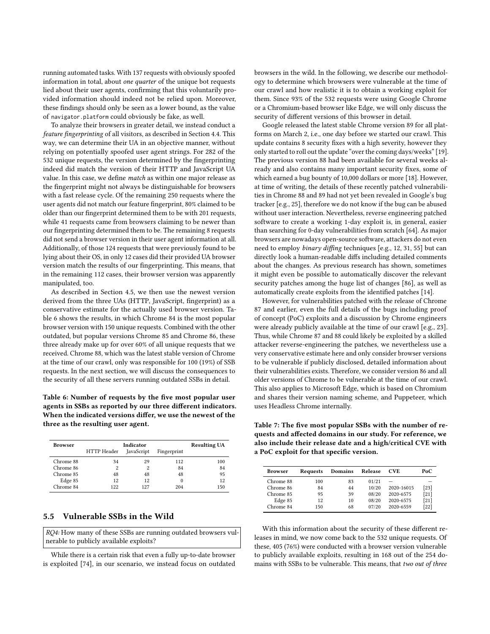running automated tasks. With 137 requests with obviously spoofed information in total, about one quarter of the unique bot requests lied about their user agents, confirming that this voluntarily provided information should indeed not be relied upon. Moreover, these findings should only be seen as a lower bound, as the value of navigator.platform could obviously be fake, as well.

To analyze their browsers in greater detail, we instead conduct a feature fingerprinting of all visitors, as described in [Section 4.4.](#page-5-2) This way, we can determine their UA in an objective manner, without relying on potentially spoofed user agent strings. For 282 of the 532 unique requests, the version determined by the fingerprinting indeed did match the version of their HTTP and JavaScript UA value. In this case, we define match as within one major release as the fingerprint might not always be distinguishable for browsers with a fast release cycle. Of the remaining 250 requests where the user agents did not match our feature fingerprint, 80% claimed to be older than our fingerprint determined them to be with 201 requests, while 41 requests came from browsers claiming to be newer than our fingerprinting determined them to be. The remaining 8 requests did not send a browser version in their user agent information at all. Additionally, of those 124 requests that were previously found to be lying about their OS, in only 12 cases did their provided UA browser version match the results of our fingerprinting. This means, that in the remaining 112 cases, their browser version was apparently manipulated, too.

As described in [Section 4.5,](#page-5-3) we then use the newest version derived from the three UAs (HTTP, JavaScript, fingerprint) as a conservative estimate for the actually used browser version. [Ta](#page-8-0)[ble 6](#page-8-0) shows the results, in which Chrome 84 is the most popular browser version with 150 unique requests. Combined with the other outdated, but popular versions Chrome 85 and Chrome 86, these three already make up for over 60% of all unique requests that we received. Chrome 88, which was the latest stable version of Chrome at the time of our crawl, only was responsible for 100 (19%) of SSB requests. In the next section, we will discuss the consequences to the security of all these servers running outdated SSBs in detail.

<span id="page-8-0"></span>Table 6: Number of requests by the five most popular user agents in SSBs as reported by our three different indicators. When the indicated versions differ, we use the newest of the three as the resulting user agent.

| Browser   | Indicator   |            |             | <b>Resulting UA</b> |
|-----------|-------------|------------|-------------|---------------------|
|           | HTTP Header | JavaScript | Fingerprint |                     |
| Chrome 88 | 34          | 29         | 112         | 100                 |
| Chrome 86 | 2           | 2          | 84          | 84                  |
| Chrome 85 | 48          | 48         | 48          | 95                  |
| Edge 85   | 12          | 12         |             | 12                  |
| Chrome 84 | 122         | 127        | 204         | 150                 |

## 5.5 Vulnerable SSBs in the Wild

RQ4: How many of these SSBs are running outdated browsers vulnerable to publicly available exploits?

While there is a certain risk that even a fully up-to-date browser is exploited [\[74\]](#page-12-13), in our scenario, we instead focus on outdated browsers in the wild. In the following, we describe our methodology to determine which browsers were vulnerable at the time of our crawl and how realistic it is to obtain a working exploit for them. Since 93% of the 532 requests were using Google Chrome or a Chromium-based browser like Edge, we will only discuss the security of different versions of this browser in detail.

Google released the latest stable Chrome version 89 for all platforms on March 2, i.e., one day before we started our crawl. This update contains 8 security fixes with a high severity, however they only started to roll out the update "over the coming days/weeks" [\[19\]](#page-11-2). The previous version 88 had been available for several weeks already and also contains many important security fixes, some of which earned a bug bounty of 10,000 dollars or more [\[18\]](#page-11-1). However, at time of writing, the details of these recently patched vulnerabilities in Chrome 88 and 89 had not yet been revealed in Google's bug tracker [e.g., [25\]](#page-11-33), therefore we do not know if the bug can be abused without user interaction. Nevertheless, reverse engineering patched software to create a working 1-day exploit is, in general, easier than searching for 0-day vulnerabilities from scratch [\[64\]](#page-11-34). As major browsers are nowadays open-source software, attackers do not even need to employ binary diffing techniques [e.g., [12,](#page-11-35) [31,](#page-11-36) [55\]](#page-11-37) but can directly look a human-readable diffs including detailed comments about the changes. As previous research has shown, sometimes it might even be possible to automatically discover the relevant security patches among the huge list of changes [\[86\]](#page-12-14), as well as automatically create exploits from the identified patches [\[14\]](#page-11-38).

However, for vulnerabilities patched with the release of Chrome 87 and earlier, even the full details of the bugs including proof of concept (PoC) exploits and a discussion by Chrome engineers were already publicly available at the time of our crawl [e.g., [23\]](#page-11-39). Thus, while Chrome 87 and 88 could likely be exploited by a skilled attacker reverse-engineering the patches, we nevertheless use a very conservative estimate here and only consider browser versions to be vulnerable if publicly disclosed, detailed information about their vulnerabilities exists. Therefore, we consider version 86 and all older versions of Chrome to be vulnerable at the time of our crawl. This also applies to Microsoft Edge, which is based on Chromium and shares their version naming scheme, and Puppeteer, which uses Headless Chrome internally.

<span id="page-8-1"></span>Table 7: The five most popular SSBs with the number of requests and affected domains in our study. For reference, we also include their release date and a high/critical CVE with a PoC exploit for that specific version.

| <b>Browser</b> | Requests | Domains | Release | <b>CVE</b> | PoC    |
|----------------|----------|---------|---------|------------|--------|
| Chrome 88      | 100      | 83      | 01/21   |            |        |
| Chrome 86      | 84       | 44      | 10/20   | 2020-16015 | $[23]$ |
| Chrome 85      | 95       | 39      | 08/20   | 2020-6575  | [21]   |
| Edge 85        | 12       | 10      | 08/20   | 2020-6575  | $[21]$ |
| Chrome 84      | 150      | 68      | 07/20   | 2020-6559  | $[22]$ |

With this information about the security of these different releases in mind, we now come back to the 532 unique requests. Of these, 405 (76%) were conducted with a browser version vulnerable to publicly available exploits, resulting in 168 out of the 254 domains with SSBs to be vulnerable. This means, that two out of three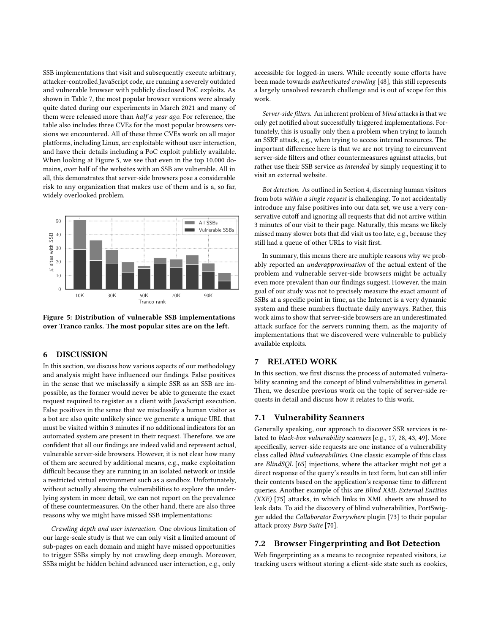SSB implementations that visit and subsequently execute arbitrary, attacker-controlled JavaScript code, are running a severely outdated and vulnerable browser with publicly disclosed PoC exploits. As shown in [Table 7,](#page-8-1) the most popular browser versions were already quite dated during our experiments in March 2021 and many of them were released more than half a year ago. For reference, the table also includes three CVEs for the most popular browsers versions we encountered. All of these three CVEs work on all major platforms, including Linux, are exploitable without user interaction, and have their details including a PoC exploit publicly available. When looking at [Figure 5,](#page-9-0) we see that even in the top 10,000 domains, over half of the websites with an SSB are vulnerable. All in all, this demonstrates that server-side browsers pose a considerable risk to any organization that makes use of them and is a, so far, widely overlooked problem.

<span id="page-9-0"></span>

Figure 5: Distribution of vulnerable SSB implementations over Tranco ranks. The most popular sites are on the left.

## 6 DISCUSSION

In this section, we discuss how various aspects of our methodology and analysis might have influenced our findings. False positives in the sense that we misclassify a simple SSR as an SSB are impossible, as the former would never be able to generate the exact request required to register as a client with JavaScript execution. False positives in the sense that we misclassify a human visitor as a bot are also quite unlikely since we generate a unique URL that must be visited within 3 minutes if no additional indicators for an automated system are present in their request. Therefore, we are confident that all our findings are indeed valid and represent actual, vulnerable server-side browsers. However, it is not clear how many of them are secured by additional means, e.g., make exploitation difficult because they are running in an isolated network or inside a restricted virtual environment such as a sandbox. Unfortunately, without actually abusing the vulnerabilities to explore the underlying system in more detail, we can not report on the prevalence of these countermeasures. On the other hand, there are also three reasons why we might have missed SSB implementations:

Crawling depth and user interaction. One obvious limitation of our large-scale study is that we can only visit a limited amount of sub-pages on each domain and might have missed opportunities to trigger SSBs simply by not crawling deep enough. Moreover, SSBs might be hidden behind advanced user interaction, e.g., only

accessible for logged-in users. While recently some efforts have been made towards authenticated crawling [\[48\]](#page-11-42), this still represents a largely unsolved research challenge and is out of scope for this work.

Server-side filters. An inherent problem of blind attacks is that we only get notified about successfully triggered implementations. Fortunately, this is usually only then a problem when trying to launch an SSRF attack, e.g., when trying to access internal resources. The important difference here is that we are not trying to circumvent server-side filters and other countermeasures against attacks, but rather use their SSB service as intended by simply requesting it to visit an external website.

Bot detection. As outlined in [Section 4,](#page-4-0) discerning human visitors from bots within a single request is challenging. To not accidentally introduce any false positives into our data set, we use a very conservative cutoff and ignoring all requests that did not arrive within 3 minutes of our visit to their page. Naturally, this means we likely missed many slower bots that did visit us too late, e.g., because they still had a queue of other URLs to visit first.

In summary, this means there are multiple reasons why we probably reported an underapproximation of the actual extent of the problem and vulnerable server-side browsers might be actually even more prevalent than our findings suggest. However, the main goal of our study was not to precisely measure the exact amount of SSBs at a specific point in time, as the Internet is a very dynamic system and these numbers fluctuate daily anyways. Rather, this work aims to show that server-side browsers are an underestimated attack surface for the servers running them, as the majority of implementations that we discovered were vulnerable to publicly available exploits.

# 7 RELATED WORK

In this section, we first discuss the process of automated vulnerability scanning and the concept of blind vulnerabilities in general. Then, we describe previous work on the topic of server-side requests in detail and discuss how it relates to this work.

## 7.1 Vulnerability Scanners

Generally speaking, our approach to discover SSR services is related to black-box vulnerability scanners [e.g., [17,](#page-11-43) [28,](#page-11-44) [43,](#page-11-45) [49\]](#page-11-46). More specifically, server-side requests are one instance of a vulnerability class called blind vulnerabilities. One classic example of this class are BlindSQL [\[65\]](#page-11-47) injections, where the attacker might not get a direct response of the query's results in text form, but can still infer their contents based on the application's response time to different queries. Another example of this are Blind XML External Entities (XXE) [\[75\]](#page-12-15) attacks, in which links in XML sheets are abused to leak data. To aid the discovery of blind vulnerabilities, PortSwigger added the Collaborator Everywhere plugin [\[73\]](#page-12-7) to their popular attack proxy Burp Suite [\[70\]](#page-12-16).

## 7.2 Browser Fingerprinting and Bot Detection

Web fingerprinting as a means to recognize repeated visitors, i.e tracking users without storing a client-side state such as cookies,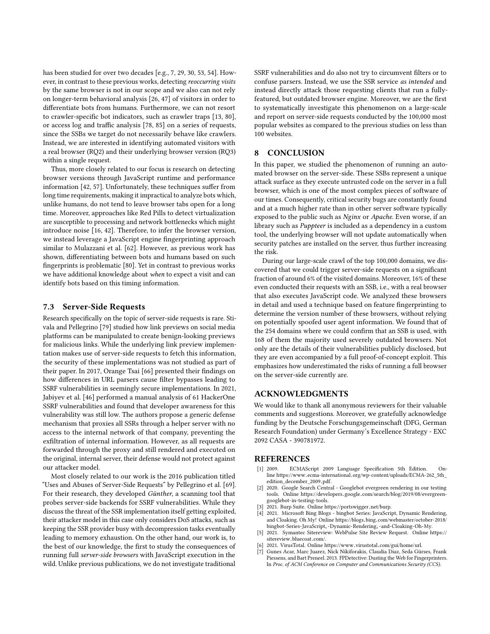has been studied for over two decades [e.g., [7,](#page-10-6) [29,](#page-11-48) [30,](#page-11-49) [53,](#page-11-50) [54\]](#page-11-51). However, in contrast to these previous works, detecting reoccurring visits by the same browser is not in our scope and we also can not rely on longer-term behavioral analysis [\[26,](#page-11-52) [47\]](#page-11-23) of visitors in order to differentiate bots from humans. Furthermore, we can not resort to crawler-specific bot indicators, such as crawler traps [\[13,](#page-11-53) [80\]](#page-12-9), or access log and traffic analysis [\[78,](#page-12-17) [85\]](#page-12-18) on a series of requests, since the SSBs we target do not necessarily behave like crawlers. Instead, we are interested in identifying automated visitors with a real browser (RQ2) and their underlying browser version (RQ3) within a single request.

Thus, more closely related to our focus is research on detecting browser versions through JavaScript runtime and performance information [\[42,](#page-11-54) [57\]](#page-11-55). Unfortunately, these techniques suffer from long time requirements, making it impractical to analyze bots which, unlike humans, do not tend to leave browser tabs open for a long time. Moreover, approaches like Red Pills to detect virtualization are susceptible to processing and network bottlenecks which might introduce noise [\[16,](#page-11-56) [42\]](#page-11-54). Therefore, to infer the browser version, we instead leverage a JavaScript engine fingerprinting approach similar to Mulazzani et al. [\[62\]](#page-11-57). However, as previous work has shown, differentiating between bots and humans based on such fingerprints is problematic [\[80\]](#page-12-9). Yet in contrast to previous works we have additional knowledge about when to expect a visit and can identify bots based on this timing information.

## 7.3 Server-Side Requests

Research specifically on the topic of server-side requests is rare. Stivala and Pellegrino [\[79\]](#page-12-19) studied how link previews on social media platforms can be manipulated to create benign-looking previews for malicious links. While the underlying link preview implementation makes use of server-side requests to fetch this information, the security of these implementations was not studied as part of their paper. In 2017, Orange Tsai [\[66\]](#page-11-58) presented their findings on how differences in URL parsers cause filter bypasses leading to SSRF vulnerabilities in seemingly secure implementations. In 2021, Jabiyev et al. [\[46\]](#page-11-59) performed a manual analysis of 61 HackerOne SSRF vulnerabilities and found that developer awareness for this vulnerability was still low. The authors propose a generic defense mechanism that proxies all SSRs through a helper server with no access to the internal network of that company, preventing the exfiltration of internal information. However, as all requests are forwarded through the proxy and still rendered and executed on the original, internal server, their defense would not protect against our attacker model.

Most closely related to our work is the 2016 publication titled "Uses and Abuses of Server-Side Requests" by Pellegrino et al. [\[69\]](#page-12-4). For their research, they developed Günther, a scanning tool that probes server-side backends for SSRF vulnerabilities. While they discuss the threat of the SSR implementation itself getting exploited, their attacker model in this case only considers DoS attacks, such as keeping the SSR provider busy with decompression tasks eventually leading to memory exhaustion. On the other hand, our work is, to the best of our knowledge, the first to study the consequences of running full server-side browsers with JavaScript execution in the wild. Unlike previous publications, we do not investigate traditional

SSRF vulnerabilities and do also not try to circumvent filters or to confuse parsers. Instead, we use the SSR service as intended and instead directly attack those requesting clients that run a fullyfeatured, but outdated browser engine. Moreover, we are the first to systematically investigate this phenomenon on a large-scale and report on server-side requests conducted by the 100,000 most popular websites as compared to the previous studies on less than 100 websites.

## 8 CONCLUSION

In this paper, we studied the phenomenon of running an automated browser on the server-side. These SSBs represent a unique attack surface as they execute untrusted code on the server in a full browser, which is one of the most complex pieces of software of our times. Consequently, critical security bugs are constantly found and at a much higher rate than in other server software typically exposed to the public such as Nginx or Apache. Even worse, if an library such as Puppteer is included as a dependency in a custom tool, the underlying browser will not update automatically when security patches are installed on the server, thus further increasing the risk.

During our large-scale crawl of the top 100,000 domains, we discovered that we could trigger server-side requests on a significant fraction of around 6% of the visited domains. Moreover, 16% of these even conducted their requests with an SSB, i.e., with a real browser that also executes JavaScript code. We analyzed these browsers in detail and used a technique based on feature fingerprinting to determine the version number of these browsers, without relying on potentially spoofed user agent information. We found that of the 254 domains where we could confirm that an SSB is used, with 168 of them the majority used severely outdated browsers. Not only are the details of their vulnerabilities publicly disclosed, but they are even accompanied by a full proof-of-concept exploit. This emphasizes how underestimated the risks of running a full browser on the server-side currently are.

#### ACKNOWLEDGMENTS

We would like to thank all anonymous reviewers for their valuable comments and suggestions. Moreover, we gratefully acknowledge funding by the Deutsche Forschungsgemeinschaft (DFG, German Research Foundation) under Germany's Excellence Strategy - EXC 2092 CASA - 390781972.

#### **REFERENCES**

- <span id="page-10-5"></span>[1] 2009. ECMAScript 2009 Language Specification 5th Edition. Online https://www.ecma-international.[org/wp-content/uploads/ECMA-262\\_5th\\_](https://www.ecma-international.org/wp-content/uploads/ECMA-262_5th_edition_december_2009.pdf) [edition\\_december\\_2009](https://www.ecma-international.org/wp-content/uploads/ECMA-262_5th_edition_december_2009.pdf).pdf.
- <span id="page-10-0"></span>[2] 2020. Google Search Central - Googlebot evergreen rendering in our testing tools. Online https://developers.google.[com/search/blog/2019/08/evergreen](https://developers.google.com/search/blog/2019/08/evergreen-googlebot-in-testing-tools)[googlebot-in-testing-tools.](https://developers.google.com/search/blog/2019/08/evergreen-googlebot-in-testing-tools)
- <span id="page-10-4"></span>[3] 2021. Burp Suite. Online [https://portswigger](https://portswigger.net/burp).net/burp.
- <span id="page-10-1"></span>2021. Microsoft Bing Blogs - bingbot Series: JavaScript, Dynamic Rendering, and Cloaking. Oh My! Online https://blogs.bing.[com/webmaster/october-2018/](https://blogs.bing.com/webmaster/october-2018/bingbot-Series-JavaScript,-Dynamic-Rendering,-and-Cloaking-Oh-My) [bingbot-Series-JavaScript](https://blogs.bing.com/webmaster/october-2018/bingbot-Series-JavaScript,-Dynamic-Rendering,-and-Cloaking-Oh-My),-Dynamic-Rendering,-and-Cloaking-Oh-My.
- <span id="page-10-2"></span>2021. Symantec Sitereview: WebPulse Site Review Request. Online [https://](https://sitereview.bluecoat.com/) sitereview.bluecoat.com/.
- <span id="page-10-3"></span>[sitereview](https://sitereview.bluecoat.com/).bluecoat.com/.<br>[6] 2021. VirusTotal. Online https://www.virustotal.[com/gui/home/url.](https://www.virustotal.com/gui/home/url)<br>[7] Gunes Acar Marc Juarez Nick Nikiforakis. Claudia Diaz Seda Gün
- <span id="page-10-6"></span>[7] Gunes Acar, Marc Juarez, Nick Nikiforakis, Claudia Diaz, Seda Gürses, Frank Piessens, and Bart Preneel. 2013. FPDetective: Dusting the Web for Fingerprinters. In Proc. of ACM Conference on Computer and Communications Security (CCS).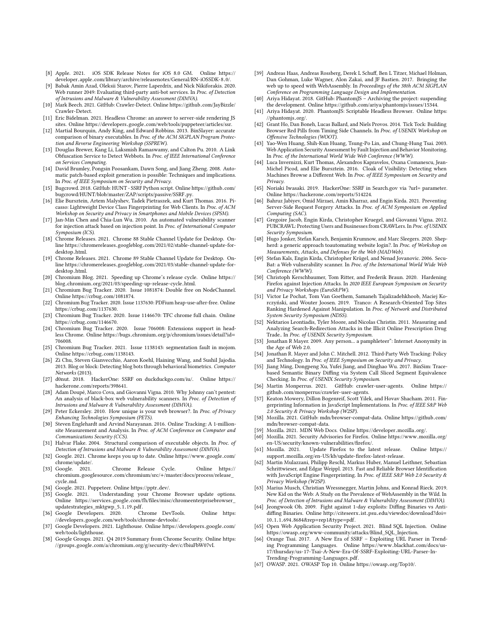- <span id="page-11-27"></span>[8] Apple. 2021. iOS SDK Release Notes for iOS 8.0 GM. Online [https://](https://developer.apple.com/library/archive/releasenotes/General/RN-iOSSDK-8.0/) developer.apple.[com/library/archive/releasenotes/General/RN-iOSSDK-8](https://developer.apple.com/library/archive/releasenotes/General/RN-iOSSDK-8.0/).0/.
- <span id="page-11-24"></span>[9] Babak Amin Azad, Oleksii Starov, Pierre Laperdrix, and Nick Nikiforakis. 2020. Web runner 2049: Evaluating third-party anti-bot services. In Proc. of Detection of Intrusions and Malware & Vulnerability Assessment (DIMVA).
- <span id="page-11-25"></span>[10] Mark Beech. 2021. GitHub: Crawler-Detect. Online https://github.[com/JayBizzle/](https://github.com/JayBizzle/Crawler-Detect) [Crawler-Detect.](https://github.com/JayBizzle/Crawler-Detect)
- <span id="page-11-16"></span>[11] Eric Bidelman. 2021. Headless Chrome: an answer to server-side rendering JS sites. Online https://developers.google.[com/web/tools/puppeteer/articles/ssr.](https://developers.google.com/web/tools/puppeteer/articles/ssr)
- <span id="page-11-35"></span>[12] Martial Bourquin, Andy King, and Edward Robbins. 2013. BinSlayer: accurate comparison of binary executables. In Proc. of the ACM SIGPLAN Program Protection and Reverse Engineering Workshop (SSPREW).
- <span id="page-11-53"></span>[13] Douglas Brewer, Kang Li, Laksmish Ramaswamy, and Calton Pu. 2010. A Link Obfuscation Service to Detect Webbots. In Proc. of IEEE International Conference on Services Computing.
- <span id="page-11-38"></span>[14] David Brumley, Pongsin Poosankam, Dawn Song, and Jiang Zheng. 2008. Automatic patch-based exploit generation is possible: Techniques and implications. In Proc. of IEEE Symposium on Security and Privacy.
- <span id="page-11-20"></span>[15] Bugcrowd. 2018. GitHub: HUNT - SSRF Python script. Onlin[e https://github](https://github.com/bugcrowd/HUNT/blob/master/ZAP/scripts/passive/SSRF.py).com/
- <span id="page-11-56"></span>[bugcrowd/HUNT/blob/master/ZAP/scripts/passive/SSRF](https://github.com/bugcrowd/HUNT/blob/master/ZAP/scripts/passive/SSRF.py).py. [16] Elie Bursztein, Artem Malyshev, Tadek Pietraszek, and Kurt Thomas. 2016. Picasso: Lightweight Device Class Fingerprinting for Web Clients. In Proc. of ACM Workshop on Security and Privacy in Smartphones and Mobile Devices (SPSM).
- <span id="page-11-43"></span>[17] Jan-Min Chen and Chia-Lun Wu. 2010. An automated vulnerability scanner for injection attack based on injection point. In Proc. of International Computer Symposium (ICS).
- <span id="page-11-1"></span>[18] Chrome Releases. 2021. Chrome 88 Stable Channel Update for Desktop. Online https://chromereleases.googleblog.[com/2021/02/stable-channel-update-for-](https://chromereleases.googleblog.com/2021/02/stable-channel-update-for-desktop.html)
- <span id="page-11-2"></span>[desktop](https://chromereleases.googleblog.com/2021/02/stable-channel-update-for-desktop.html).html. [19] Chrome Releases. 2021. Chrome 89 Stable Channel Update for Desktop. Online https://chromereleases.googleblog.[com/2021/03/stable-channel-update-for](https://chromereleases.googleblog.com/2021/03/stable-channel-update-for-desktop.html)[desktop](https://chromereleases.googleblog.com/2021/03/stable-channel-update-for-desktop.html).html. [20] Chromium Blog. 2021. Speeding up Chrome's release cycle. Online [https://](https://blog.chromium.org/2021/03/speeding-up-release-cycle.html)
- <span id="page-11-4"></span>blog.chromium.[org/2021/03/speeding-up-release-cycle](https://blog.chromium.org/2021/03/speeding-up-release-cycle.html).html. [21] Chromium Bug Tracker. 2020. Issue 1081874: Double free on NodeChannel.
- <span id="page-11-40"></span>Online https://crbug.[com/1081874.](https://crbug.com/1081874) [22] Chromium Bug Tracker. 2020. Issue 1137630: PDFium heap-use-after-free. Online
- <span id="page-11-41"></span>https://crbug.[com/1137630.](https://crbug.com/1137630) [23] Chromium Bug Tracker. 2020. Issue 1146670: TFC chrome full chain. Online
- <span id="page-11-39"></span>
- <span id="page-11-28"></span>https://crbug.[com/1146670.](https://crbug.com/1146670) [24] Chromium Bug Tracker. 2020. Issue 706008: Extensions support in headless Chrome. Online https://bugs.chromium.[org/p/chromium/issues/detail?id](https://bugs.chromium.org/p/chromium/issues/detail?id=706008)<sup>=</sup> [706008.](https://bugs.chromium.org/p/chromium/issues/detail?id=706008)
- <span id="page-11-33"></span>[25] Chromium Bug Tracker. 2021. Issue 1138143: segmentation fault in mojom.
- <span id="page-11-52"></span>Online https://crbug.[com/1138143.](https://crbug.com/1138143) [26] Zi Chu, Steven Gianvecchio, Aaron Koehl, Haining Wang, and Sushil Jajodia. 2013. Blog or block: Detecting blog bots through behavioral biometrics. Computer Networks (2013).
- <span id="page-11-21"></span>[27] d0nut. 2018. HackerOne: SSRF on duckduckgo.com/iu/. Online [https://](https://hackerone.com/reports/398641) hackerone.[com/reports/398641.](https://hackerone.com/reports/398641)
- <span id="page-11-44"></span>[28] Adam Doupé, Marco Cova, and Giovanni Vigna. 2010. Why Johnny can't pentest: An analysis of black-box web vulnerability scanners. In Proc. of Detection of Intrusions and Malware & Vulnerability Assessment (DIMVA).
- <span id="page-11-48"></span>[29] Peter Eckersley. 2010. How unique is your web browser?. In Proc. of Privacy Enhancing Technologies Symposium (PETS).
- <span id="page-11-49"></span>[30] Steven Englehardt and Arvind Narayanan. 2016. Online Tracking: A 1-millionsite Measurement and Analysis. In Proc. of ACM Conference on Computer and Communications Security (CCS).
- <span id="page-11-36"></span>[31] Halvar Flake. 2004. Structural comparison of executable objects. In Proc. of Detection of Intrusions and Malware & Vulnerability Assessment (DIMVA).
- <span id="page-11-6"></span>[32] Google. 2021. Chrome keeps you up to date. Online [https://www](https://www.google.com/chrome/update/).google.com/ [chrome/update/.](https://www.google.com/chrome/update/)
- <span id="page-11-18"></span>[33] Google. 2021. Chrome Release Cycle. Online [https://](https://chromium.googlesource.com/chromium/src/+/master/docs/process/release_cycle.md) chromium.googlesource.com/chromium/src/+[/master/docs/process/release\\_](https://chromium.googlesource.com/chromium/src/+/master/docs/process/release_cycle.md) [cycle](https://chromium.googlesource.com/chromium/src/+/master/docs/process/release_cycle.md).md.
- <span id="page-11-8"></span>[34] Google. 2021. Puppeteer. Online [https://pptr](https://pptr.dev/).dev/.<br>[35] Google. 2021. Understanding your Chrome
- <span id="page-11-19"></span>Understanding your Chrome Browser update options. Online https://services.google.[com/fh/files/misc/chromeenterprisebrowser\\_](https://services.google.com/fh/files/misc/chromeenterprisebrowser_updatestrategies_mktgwp_5.1.19.pdf) [updatestrategies\\_mktgwp\\_5](https://services.google.com/fh/files/misc/chromeenterprisebrowser_updatestrategies_mktgwp_5.1.19.pdf).1.19.pdf.<br>Google Developers. 2020. Chrome DevTools.
- <span id="page-11-15"></span>[36] Google Developers. 2020. Chrome DevTools. Online [https:](https://developers.google.com/web/tools/chrome-devtools/)
- <span id="page-11-32"></span>//developers.google.[com/web/tools/chrome-devtools/.](https://developers.google.com/web/tools/chrome-devtools/) [37] Google Developers. 2021. Lighthouse. Online [https://developers](https://developers.google.com/web/tools/lighthouse).google.com/ [web/tools/lighthouse.](https://developers.google.com/web/tools/lighthouse)
- <span id="page-11-5"></span>[38] Google Groups. 2021. Q4 2019 Summary from Chrome Security. Online [https:](https://groups.google.com/a/chromium.org/g/security-dev/c/fbiuFbW07vI) //groups.google.com/a/chromium.[org/g/security-dev/c/fbiuFbW07vI.](https://groups.google.com/a/chromium.org/g/security-dev/c/fbiuFbW07vI)
- <span id="page-11-9"></span>[39] Andreas Haas, Andreas Rossberg, Derek L Schuff, Ben L Titzer, Michael Holman, Dan Gohman, Luke Wagner, Alon Zakai, and JF Bastien. 2017. Bringing the web up to speed with WebAssembly. In Proceedings of the 38th ACM SIGPLAN Conference on Programming Language Design and Implementation.
- <span id="page-11-14"></span>[40] Ariya Hidayat. 2018. GitHub: PhantomJS – Archiving the project: suspending the development. Online https://github.[com/ariya/phantomjs/issues/15344.](https://github.com/ariya/phantomjs/issues/15344)
- <span id="page-11-13"></span>[41] Ariya Hidayat. 2020. PhantomJS: Scriptable Headless Browser. Online [https:](https://phantomjs.org/)
- <span id="page-11-54"></span>[//phantomjs](https://phantomjs.org/).org/. [42] Grant Ho, Dan Boneh, Lucas Ballard, and Niels Provos. 2014. Tick Tock: Building Browser Red Pills from Timing Side Channels. In Proc. of USENIX Workshop on Offensive Technologies (WOOT).
- <span id="page-11-45"></span>[43] Yao-Wen Huang, Shih-Kun Huang, Tsung-Po Lin, and Chung-Hung Tsai. 2003. Web Application Security Assessment by Fault Injection and Behavior Monitoring. In Proc. of the International World Wide Web Conference (WWW).
- <span id="page-11-12"></span>[44] Luca Invernizzi, Kurt Thomas, Alexandros Kapravelos, Oxana Comanescu, Jean-Michel Picod, and Elie Bursztein. 2016. Cloak of Visibility: Detecting when Machines Browse a Different Web. In Proc. of IEEE Symposium on Security and Privacy.
- <span id="page-11-22"></span>[45] Noriaki Iwasaki. 2019. HackerOne: SSRF in Search.gov via ?url= parameter. Online https://hackerone.[com/reports/514224.](https://hackerone.com/reports/514224)
- <span id="page-11-59"></span>[46] Bahruz Jabiyev, Omid Mirzaei, Amin Kharraz, and Engin Kirda. 2021. Preventing Server-Side Request Forgery Attacks. In Proc. of ACM Symposium on Applied Computing (SAC).
- <span id="page-11-23"></span>[47] Gregoire Jacob, Engin Kirda, Christopher Kruegel, and Giovanni Vigna. 2012. PUBCRAWL: Protecting Users and Businesses from CRAWLers. In Proc. of USENIX Security Symposium.
- <span id="page-11-42"></span>[48] Hugo Jonker, Stefan Karsch, Benjamin Krumnow, and Marc Sleegers. 2020. Shepherd: a generic approach toautomating website login?. In Proc. of Workshop on Measurements, Attacks, and Defenses for the Web (MADWeb).
- <span id="page-11-46"></span>[49] Stefan Kals, Engin Kirda, Christopher Krügel, and Nenad Jovanovic. 2006. Secu-Bat: a Web vulnerability scanner. In Proc. of the International World Wide Web Conference (WWW).
- <span id="page-11-0"></span>[50] Christoph Kerschbaumer, Tom Ritter, and Frederik Braun. 2020. Hardening Firefox against Injection Attacks. In 2020 IEEE European Symposium on Security and Privacy Workshops (EuroS&PW).
- <span id="page-11-31"></span>[51] Victor Le Pochat, Tom Van Goethem, Samaneh Tajalizadehkhoob, Maciej Ko-rczyński, and Wouter Joosen. 2019. Tranco: A Research-Oriented Top Sites Ranking Hardened Against Manipulation. In Proc. of Network and Distributed System Security Symposium (NDSS).
- <span id="page-11-11"></span>[52] Nektarios Leontiadis, Tyler Moore, and Nicolas Christin. 2011. Measuring and Analyzing Search-Redirection Attacks in the Illicit Online Prescription Drug Trade.. In Proc. of USENIX Security Symposium.
- <span id="page-11-50"></span>[53] Jonathan R Mayer. 2009. Any person... a pamphleteer": Internet Anonymity in the Age of Web 2.0.
- <span id="page-11-51"></span>[54] Jonathan R. Mayer and John C. Mitchell. 2012. Third-Party Web Tracking: Policy and Technology. In Proc. of IEEE Symposium on Security and Privacy.
- <span id="page-11-37"></span>[55] Jiang Ming, Dongpeng Xu, Yufei Jiang, and Dinghao Wu. 2017. BinSim: Tracebased Semantic Binary Diffing via System Call Sliced Segment Equivalence Checking. In Proc. of USENIX Security Symposium.
- <span id="page-11-26"></span>[56] Martin Monperrus. 2021. GitHub: crawler-user-agents. Online [https://](https://github.com/monperrus/crawler-user-agents) github.[com/monperrus/crawler-user-agents.](https://github.com/monperrus/crawler-user-agents)
- <span id="page-11-55"></span>[57] Keaton Mowery, Dillon Bogenreif, Scott Yilek, and Hovav Shacham. 2011. Fingerprinting Information in JavaScript Implementations. In Proc. of IEEE S&P Web 2.0 Security & Privacy Workshop (W2SP).
- <span id="page-11-30"></span>[58] Mozilla. 2021. GitHub: mdn/browser-compat-data. Online [https://github](https://github.com/mdn/browser-compat-data).com/ [mdn/browser-compat-data.](https://github.com/mdn/browser-compat-data)
- <span id="page-11-29"></span>[59] Mozilla. 2021. MDN Web Docs. Online [https://developer](https://developer.mozilla.org/).mozilla.org/.
- <span id="page-11-3"></span>[60] Mozilla. 2021. Security Advisories for Firefox. Online [https://www](https://www.mozilla.org/en-US/security/known-vulnerabilities/firefox/).mozilla.org/ [en-US/security/known-vulnerabilities/firefox/.](https://www.mozilla.org/en-US/security/known-vulnerabilities/firefox/)
- <span id="page-11-7"></span>[61] Mozilla. 2021. Update Firefox to the latest release. Online [https://](https://support.mozilla.org/en-US/kb/update-firefox-latest-release) support.mozilla.[org/en-US/kb/update-firefox-latest-release.](https://support.mozilla.org/en-US/kb/update-firefox-latest-release)
- <span id="page-11-57"></span>[62] Martin Mulazzani, Philipp Reschl, Markus Huber, Manuel Leithner, Sebastian Schrittwieser, and Edgar Weippl. 2013. Fast and Reliable Browser Identification with JavaScript Engine Fingerprinting. In Proc. of IEEE S&P Web 2.0 Security & Privacy Workshop (W2SP).
- <span id="page-11-10"></span>[63] Marius Musch, Christian Wressnegger, Martin Johns, and Konrad Rieck. 2019. New Kid on the Web: A Study on the Prevalence of WebAssembly in the Wild. In Proc. of Detection of Intrusions and Malware & Vulnerability Assessment (DIMVA).
- <span id="page-11-34"></span>[64] Jeongwook Oh. 2009. Fight against 1-day exploits: Diffing Binaries vs Antidiffing Binaries. Online http://citeseerx.ist.psu.[edu/viewdoc/download?doi](http://citeseerx.ist.psu.edu/viewdoc/download?doi=10.1.1.694.8684&rep=rep1&type=pdf)<sup>=</sup> <sup>10</sup>.1.1.694.8684&rep=[rep1&type](http://citeseerx.ist.psu.edu/viewdoc/download?doi=10.1.1.694.8684&rep=rep1&type=pdf)=pdf.
- <span id="page-11-47"></span>[65] Open Web Application Security Project. 2021. Blind SQL Injection. Online https://owasp.[org/www-community/attacks/Blind\\_SQL\\_Injection.](https://owasp.org/www-community/attacks/Blind_SQL_Injection)
- <span id="page-11-58"></span>[66] Orange Tsai. 2017. A New Era of SSRF – Exploiting URL Parser in Trending Programming Languages. Online https://www.blackhat.[com/docs/us-](https://www.blackhat.com/docs/us-17/thursday/us-17-Tsai-A-New-Era-Of-SSRF-Exploiting-URL-Parser-In-Trending-Programming-Languages.pdf)[17/thursday/us-17-Tsai-A-New-Era-Of-SSRF-Exploiting-URL-Parser-In-](https://www.blackhat.com/docs/us-17/thursday/us-17-Tsai-A-New-Era-Of-SSRF-Exploiting-URL-Parser-In-Trending-Programming-Languages.pdf)
- <span id="page-11-17"></span>[Trending-Programming-Languages](https://www.blackhat.com/docs/us-17/thursday/us-17-Tsai-A-New-Era-Of-SSRF-Exploiting-URL-Parser-In-Trending-Programming-Languages.pdf).pdf. [67] OWASP. 2021. OWASP Top 10. Online [https://owasp](https://owasp.org/Top10/).org/Top10/.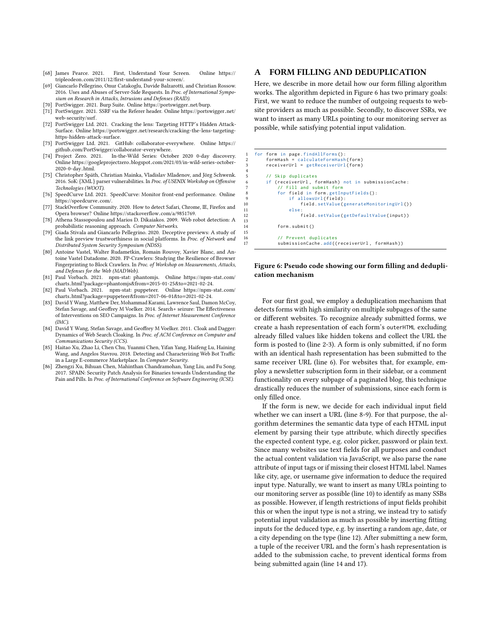- <span id="page-12-10"></span>[68] James Pearce. 2021. First, Understand Your Screen. Online [https://](https://tripleodeon.com/2011/12/first-understand-your-screen/) tripleodeon.[com/2011/12/first-understand-your-screen/.](https://tripleodeon.com/2011/12/first-understand-your-screen/)
- <span id="page-12-4"></span>[69] Giancarlo Pellegrino, Onur Catakoglu, Davide Balzarotti, and Christian Rossow. 2016. Uses and Abuses of Server-Side Requests. In Proc. of International Symposium on Research in Attacks, Intrusions and Defenses (RAID).
- <span id="page-12-16"></span>[70] PortSwigger. 2021. Burp Suite. Online [https://portswigger](https://portswigger.net/burp).net/burp.
- <span id="page-12-6"></span>[71] PortSwigger. 2021. SSRF via the Referer header. Online [https://portswigger](https://portswigger.net/web-security/ssrf).net/ [web-security/ssrf.](https://portswigger.net/web-security/ssrf)
- <span id="page-12-5"></span>[72] PortSwigger Ltd. 2021. Cracking the lens: Targeting HTTP's Hidden Attack-Surface. Online https://portswigger.[net/research/cracking-the-lens-targeting](https://portswigger.net/research/cracking-the-lens-targeting-https-hidden-attack-surface)[https-hidden-attack-surface.](https://portswigger.net/research/cracking-the-lens-targeting-https-hidden-attack-surface)
- <span id="page-12-7"></span>[73] PortSwigger Ltd. 2021. GitHub: collaborator-everywhere. Online [https://](https://github.com/PortSwigger/collaborator-everywhere) github.[com/PortSwigger/collaborator-everywhere.](https://github.com/PortSwigger/collaborator-everywhere)<br>[74] Project Zero. 2021. In-the-Wild Series: Octo
- <span id="page-12-13"></span>In-the-Wild Series: October 2020 0-day discovery. Online https://googleprojectzero.blogspot.[com/2021/03/in-wild-series-october-](https://googleprojectzero.blogspot.com/2021/03/in-wild-series-october-2020-0-day.html)
- <span id="page-12-15"></span>[2020-0-day](https://googleprojectzero.blogspot.com/2021/03/in-wild-series-october-2020-0-day.html).html. [75] Christopher Späth, Christian Mainka, Vladislav Mladenov, and Jörg Schwenk. 2016. SoK:{XML} parser vulnerabilities. In Proc. of USENIX Workshop on Offensive Technologies (WOOT).
- <span id="page-12-12"></span>[76] SpeedCurve Ltd. 2021. SpeedCurve: Monitor front-end performance. Online [https://speedcurve](https://speedcurve.com/).com/. [77] StackOverflow Community. 2020. How to detect Safari, Chrome, IE, Firefox and
- <span id="page-12-11"></span>Opera browser? Online [https://stackoverflow](https://stackoverflow.com/a/9851769).com/a/9851769. [78] Athena Stassopoulou and Marios D. Dikaiakos. 2009. Web robot detection: A
- <span id="page-12-17"></span>probabilistic reasoning approach. Computer Networks.
- <span id="page-12-19"></span>[79] Giada Stivala and Giancarlo Pellegrino. 2020. Deceptive previews: A study of the link preview trustworthiness in social platforms. In Proc. of Network and Distributed System Security Symposium (NDSS).
- <span id="page-12-9"></span>[80] Antoine Vastel, Walter Rudametkin, Romain Rouvoy, Xavier Blanc, and Antoine Vastel Datadome. 2020. FP-Crawlers: Studying the Resilience of Browser Fingerprinting to Block Crawlers. In Proc. of Workshop on Measurements, Attacks, and Defenses for the Web (MADWeb).
- <span id="page-12-2"></span>[81] Paul Vorbach. 2021. npm-stat: phantomjs. Online [https://npm-stat](https://npm-stat.com/charts.html?package=phantomjs&from=2015-01-25&to=2021-02-24).com/ charts.html?package=[phantomjs&from](https://npm-stat.com/charts.html?package=phantomjs&from=2015-01-25&to=2021-02-24)=2015-01-25&to=2021-02-24.
- <span id="page-12-3"></span>[82] Paul Vorbach. 2021. npm-stat: puppeteer. Online [https://npm-stat](https://npm-stat.com/charts.html?package=puppeteer&from=2017-06-01&to=2021-02-24).com/ charts.html?package=[puppeteer&from](https://npm-stat.com/charts.html?package=puppeteer&from=2017-06-01&to=2021-02-24)=2017-06-01&to=2021-02-24.
- <span id="page-12-0"></span>[83] David Y Wang, Matthew Der, Mohammad Karami, Lawrence Saul, Damon McCoy, Stefan Savage, and Geoffrey M Voelker. 2014. Search+ seizure: The Effectiveness of Interventions on SEO Campaigns. In Proc. of Internet Measurement Conference (IMC).
- <span id="page-12-1"></span>[84] David Y Wang, Stefan Savage, and Geoffrey M Voelker. 2011. Cloak and Dagger: Dynamics of Web Search Cloaking. In Proc. of ACM Conference on Computer and Communications Security (CCS).
- <span id="page-12-18"></span>[85] Haitao Xu, Zhao Li, Chen Chu, Yuanmi Chen, Yifan Yang, Haifeng Lu, Haining Wang, and Angelos Stavrou. 2018. Detecting and Characterizing Web Bot Traffic in a Large E-commerce Marketplace. In Computer Security.
- <span id="page-12-14"></span>[86] Zhengzi Xu, Bihuan Chen, Mahinthan Chandramohan, Yang Liu, and Fu Song. 2017. SPAIN: Security Patch Analysis for Binaries towards Understanding the Pain and Pills. In Proc. of International Conference on Software Engineering (ICSE).

## <span id="page-12-8"></span>A FORM FILLING AND DEDUPLICATION

Here, we describe in more detail how our form filling algorithm works. The algorithm depicted in Figure [6](#page-12-20) has two primary goals: First, we want to reduce the number of outgoing requests to website providers as much as possible. Secondly, to discover SSRs, we want to insert as many URLs pointing to our monitoring server as possible, while satisfying potential input validation.

<span id="page-12-20"></span>

| 1              | for form in page.findAllForms():                   |
|----------------|----------------------------------------------------|
| 2              | $formHash = calculateFormHash(form)$               |
| 3              | $receiverUr1 = getReceivedVerUr1 (form)$           |
| $\overline{4}$ |                                                    |
| 5              | // Skip duplicates                                 |
| 6              | if (receiverUrl, formHash) not in submissionCache: |
|                | // Fill and submit form                            |
| -8             | for field in form.getInputFields():                |
| -9             | if allowsUrl(field):                               |
| 10             | $field.setValue(generateMonitoringUr1())$          |
| 11             | else:                                              |
| 12             | field.setValue(getDefaultValue(input))             |
| 13             |                                                    |
| 14             | form.submit()                                      |
| 15             |                                                    |
| 16             | // Prevent duplicates                              |
| 17             | submissionCache.add((receiverUrl, formHash))       |

13

15

#### Figure 6: Pseudo code showing our form filling and deduplication mechanism

For our first goal, we employ a deduplication mechanism that detects forms with high similarity on multiple subpages of the same or different websites. To recognize already submitted forms, we create a hash representation of each form's outerHTML excluding already filled values like hidden tokens and collect the URL the form is posted to (line 2-3). A form is only submitted, if no form with an identical hash representation has been submitted to the same receiver URL (line 6). For websites that, for example, employ a newsletter subscription form in their sidebar, or a comment functionality on every subpage of a paginated blog, this technique drastically reduces the number of submissions, since each form is only filled once.

If the form is new, we decide for each individual input field whether we can insert a URL (line 8-9). For that purpose, the algorithm determines the semantic data type of each HTML input element by parsing their type attribute, which directly specifies the expected content type, e.g. color picker, password or plain text. Since many websites use text fields for all purposes and conduct the actual content validation via JavaScript, we also parse the name attribute of input tags or if missing their closest HTML label. Names like city, age, or username give information to deduce the required input type. Naturally, we want to insert as many URLs pointing to our monitoring server as possible (line 10) to identify as many SSBs as possible. However, if length restrictions of input fields prohibit this or when the input type is not a string, we instead try to satisfy potential input validation as much as possible by inserting fitting inputs for the deduced type, e.g. by inserting a random age, date, or a city depending on the type (line 12). After submitting a new form, a tuple of the receiver URL and the form's hash representation is added to the submission cache, to prevent identical forms from being submitted again (line 14 and 17).